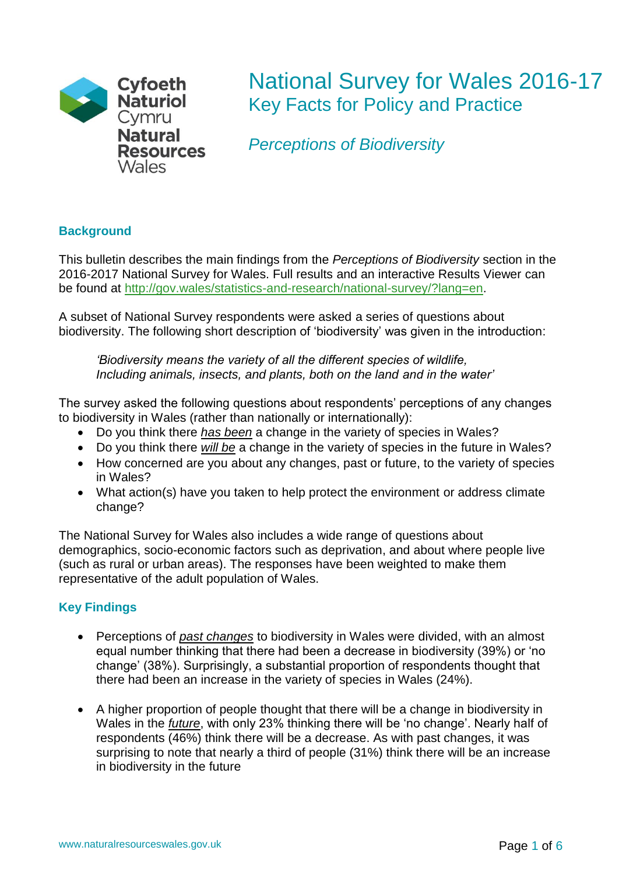

# National Survey for Wales 2016-17 Key Facts for Policy and Practice

*Perceptions of Biodiversity*

## **Background**

This bulletin describes the main findings from the *Perceptions of Biodiversity* section in the 2016-2017 National Survey for Wales. Full results and an interactive Results Viewer can be found at [http://gov.wales/statistics-and-research/national-survey/?lang=en.](http://gov.wales/statistics-and-research/national-survey/?lang=en)

A subset of National Survey respondents were asked a series of questions about biodiversity. The following short description of 'biodiversity' was given in the introduction:

*'Biodiversity means the variety of all the different species of wildlife, Including animals, insects, and plants, both on the land and in the water'*

The survey asked the following questions about respondents' perceptions of any changes to biodiversity in Wales (rather than nationally or internationally):

- Do you think there *has been* a change in the variety of species in Wales?
- Do you think there *will be* a change in the variety of species in the future in Wales?
- How concerned are you about any changes, past or future, to the variety of species in Wales?
- What action(s) have you taken to help protect the environment or address climate change?

The National Survey for Wales also includes a wide range of questions about demographics, socio-economic factors such as deprivation, and about where people live (such as rural or urban areas). The responses have been weighted to make them representative of the adult population of Wales.

## **Key Findings**

- Perceptions of *past changes* to biodiversity in Wales were divided, with an almost equal number thinking that there had been a decrease in biodiversity (39%) or 'no change' (38%). Surprisingly, a substantial proportion of respondents thought that there had been an increase in the variety of species in Wales (24%).
- A higher proportion of people thought that there will be a change in biodiversity in Wales in the *future*, with only 23% thinking there will be 'no change'. Nearly half of respondents (46%) think there will be a decrease. As with past changes, it was surprising to note that nearly a third of people (31%) think there will be an increase in biodiversity in the future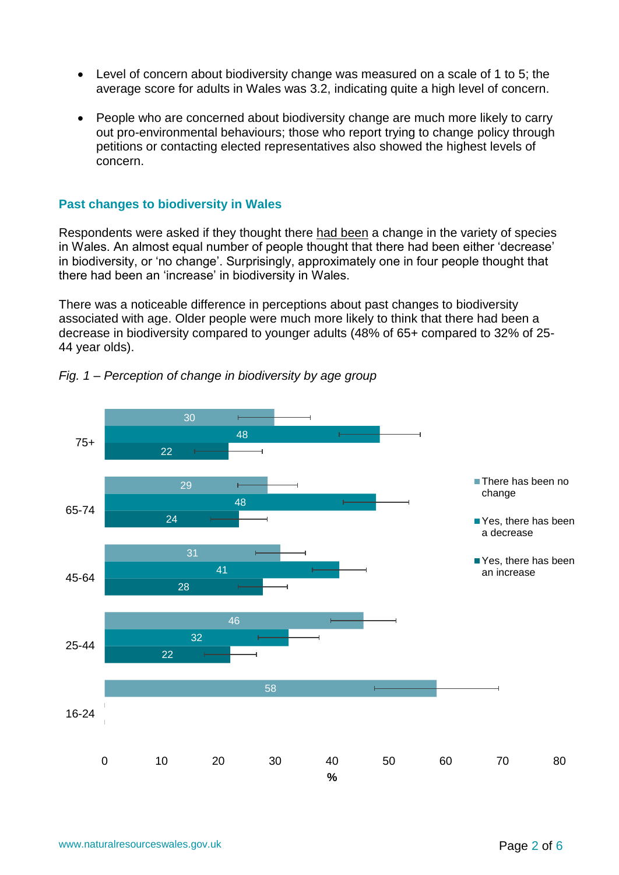- Level of concern about biodiversity change was measured on a scale of 1 to 5; the average score for adults in Wales was 3.2, indicating quite a high level of concern.
- People who are concerned about biodiversity change are much more likely to carry out pro-environmental behaviours; those who report trying to change policy through petitions or contacting elected representatives also showed the highest levels of concern.

#### **Past changes to biodiversity in Wales**

Respondents were asked if they thought there had been a change in the variety of species in Wales. An almost equal number of people thought that there had been either 'decrease' in biodiversity, or 'no change'. Surprisingly, approximately one in four people thought that there had been an 'increase' in biodiversity in Wales.

There was a noticeable difference in perceptions about past changes to biodiversity associated with age. Older people were much more likely to think that there had been a decrease in biodiversity compared to younger adults (48% of 65+ compared to 32% of 25- 44 year olds).



*Fig. 1 – Perception of change in biodiversity by age group*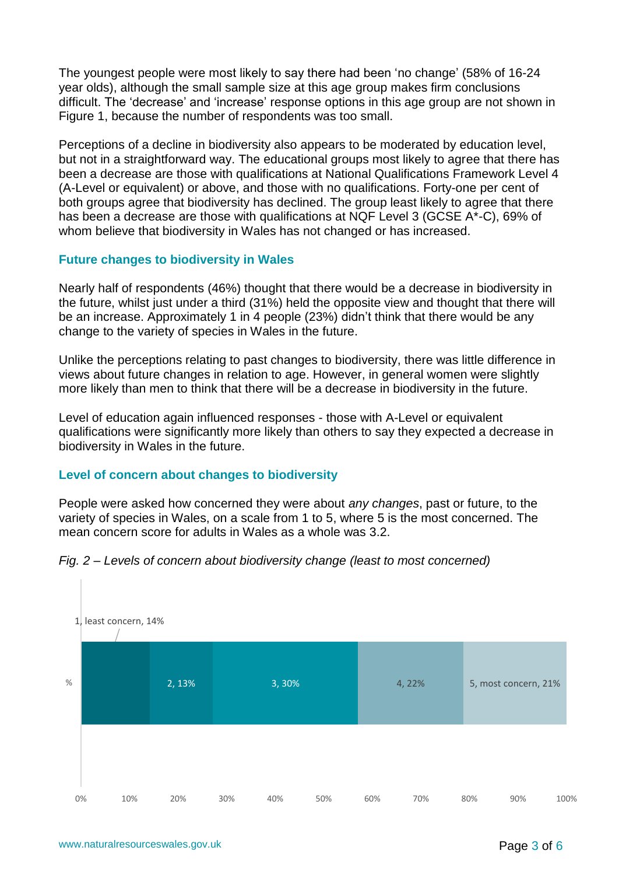The youngest people were most likely to say there had been 'no change' (58% of 16-24 year olds), although the small sample size at this age group makes firm conclusions difficult. The 'decrease' and 'increase' response options in this age group are not shown in Figure 1, because the number of respondents was too small.

Perceptions of a decline in biodiversity also appears to be moderated by education level, but not in a straightforward way. The educational groups most likely to agree that there has been a decrease are those with qualifications at National Qualifications Framework Level 4 (A-Level or equivalent) or above, and those with no qualifications. Forty-one per cent of both groups agree that biodiversity has declined. The group least likely to agree that there has been a decrease are those with qualifications at NQF Level 3 (GCSE A\*-C), 69% of whom believe that biodiversity in Wales has not changed or has increased.

### **Future changes to biodiversity in Wales**

Nearly half of respondents (46%) thought that there would be a decrease in biodiversity in the future, whilst just under a third (31%) held the opposite view and thought that there will be an increase. Approximately 1 in 4 people (23%) didn't think that there would be any change to the variety of species in Wales in the future.

Unlike the perceptions relating to past changes to biodiversity, there was little difference in views about future changes in relation to age. However, in general women were slightly more likely than men to think that there will be a decrease in biodiversity in the future.

Level of education again influenced responses - those with A-Level or equivalent qualifications were significantly more likely than others to say they expected a decrease in biodiversity in Wales in the future.

### **Level of concern about changes to biodiversity**

People were asked how concerned they were about *any changes*, past or future, to the variety of species in Wales, on a scale from 1 to 5, where 5 is the most concerned. The mean concern score for adults in Wales as a whole was 3.2.



#### *Fig. 2 – Levels of concern about biodiversity change (least to most concerned)*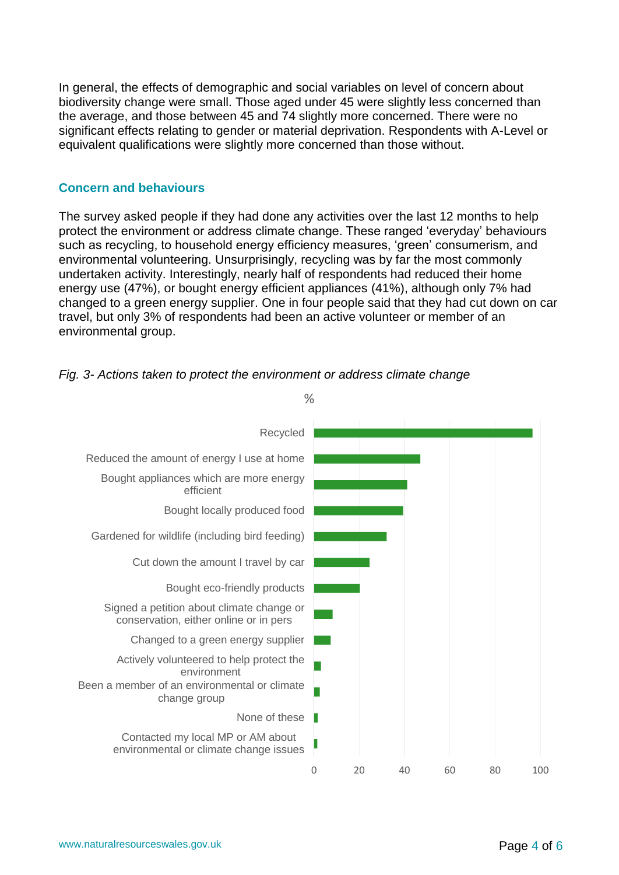In general, the effects of demographic and social variables on level of concern about biodiversity change were small. Those aged under 45 were slightly less concerned than the average, and those between 45 and 74 slightly more concerned. There were no significant effects relating to gender or material deprivation. Respondents with A-Level or equivalent qualifications were slightly more concerned than those without.

#### **Concern and behaviours**

The survey asked people if they had done any activities over the last 12 months to help protect the environment or address climate change. These ranged 'everyday' behaviours such as recycling, to household energy efficiency measures, 'green' consumerism, and environmental volunteering. Unsurprisingly, recycling was by far the most commonly undertaken activity. Interestingly, nearly half of respondents had reduced their home energy use (47%), or bought energy efficient appliances (41%), although only 7% had changed to a green energy supplier. One in four people said that they had cut down on car travel, but only 3% of respondents had been an active volunteer or member of an environmental group.



*Fig. 3- Actions taken to protect the environment or address climate change*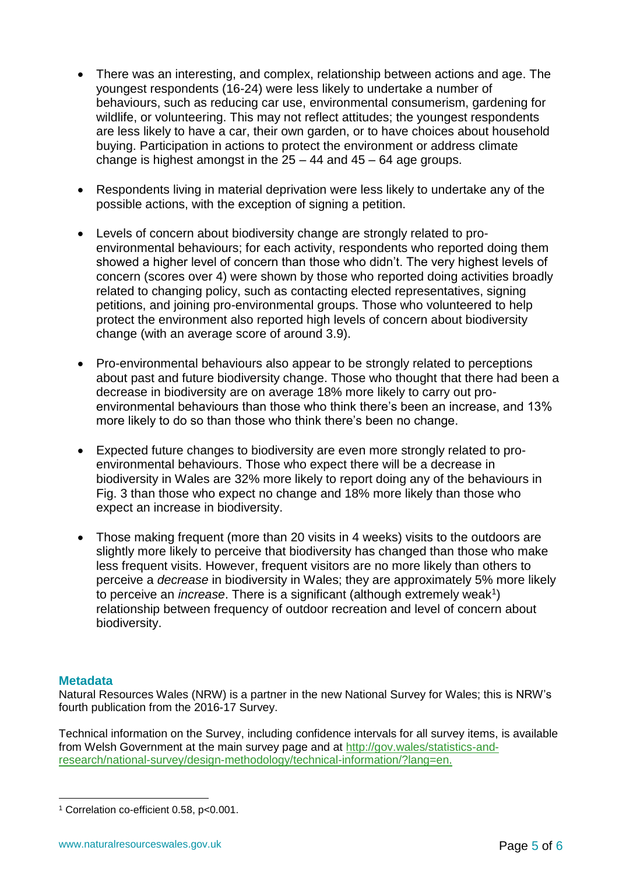- There was an interesting, and complex, relationship between actions and age. The youngest respondents (16-24) were less likely to undertake a number of behaviours, such as reducing car use, environmental consumerism, gardening for wildlife, or volunteering. This may not reflect attitudes; the youngest respondents are less likely to have a car, their own garden, or to have choices about household buying. Participation in actions to protect the environment or address climate change is highest amongst in the  $25 - 44$  and  $45 - 64$  age groups.
- Respondents living in material deprivation were less likely to undertake any of the possible actions, with the exception of signing a petition.
- Levels of concern about biodiversity change are strongly related to proenvironmental behaviours; for each activity, respondents who reported doing them showed a higher level of concern than those who didn't. The very highest levels of concern (scores over 4) were shown by those who reported doing activities broadly related to changing policy, such as contacting elected representatives, signing petitions, and joining pro-environmental groups. Those who volunteered to help protect the environment also reported high levels of concern about biodiversity change (with an average score of around 3.9).
- Pro-environmental behaviours also appear to be strongly related to perceptions about past and future biodiversity change. Those who thought that there had been a decrease in biodiversity are on average 18% more likely to carry out proenvironmental behaviours than those who think there's been an increase, and 13% more likely to do so than those who think there's been no change.
- Expected future changes to biodiversity are even more strongly related to proenvironmental behaviours. Those who expect there will be a decrease in biodiversity in Wales are 32% more likely to report doing any of the behaviours in Fig. 3 than those who expect no change and 18% more likely than those who expect an increase in biodiversity.
- Those making frequent (more than 20 visits in 4 weeks) visits to the outdoors are slightly more likely to perceive that biodiversity has changed than those who make less frequent visits. However, frequent visitors are no more likely than others to perceive a *decrease* in biodiversity in Wales; they are approximately 5% more likely to perceive an *increase*. There is a significant (although extremely weak<sup>1</sup>) relationship between frequency of outdoor recreation and level of concern about biodiversity.

#### **Metadata**

<u>.</u>

Natural Resources Wales (NRW) is a partner in the new National Survey for Wales; this is NRW's fourth publication from the 2016-17 Survey.

Technical information on the Survey, including confidence intervals for all survey items, is available from Welsh Government at the main survey page and at [http://gov.wales/statistics-and](http://gov.wales/statistics-and-research/national-survey/design-methodology/technical-information/?lang=en.)[research/national-survey/design-methodology/technical-information/?lang=en.](http://gov.wales/statistics-and-research/national-survey/design-methodology/technical-information/?lang=en.)

<sup>1</sup> Correlation co-efficient 0.58, p<0.001.